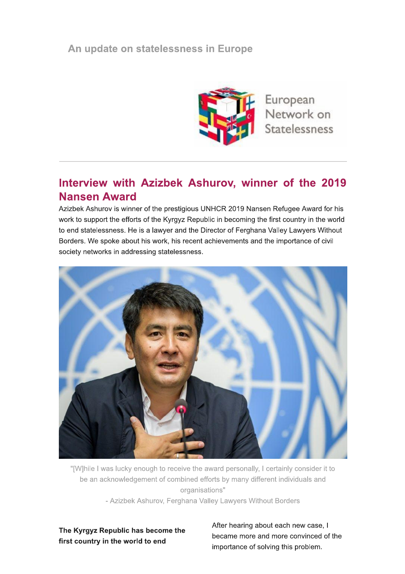## An update on statelessness in Europe



European Network on Statelessness

## Interview with Azizbek Ashurov, winner of the 2019 **Nansen Award**

Azizbek Ashurov is winner of the prestigious UNHCR 2019 Nansen Refugee Award for his work to support the efforts of the Kyrgyz Republic in becoming the first country in the world to end statelessness. He is a lawyer and the Director of Ferghana Valley Lawyers Without Borders. We spoke about his work, his recent achievements and the importance of civil society networks in addressing statelessness.



"[W]hile I was lucky enough to receive the award personally, I certainly consider it to be an acknowledgement of combined efforts by many different individuals and organisations"

- Azizbek Ashurov, Ferghana Valley Lawyers Without Borders

The Kyrgyz Republic has become the first country in the world to end

After hearing about each new case, I became more and more convinced of the importance of solving this problem.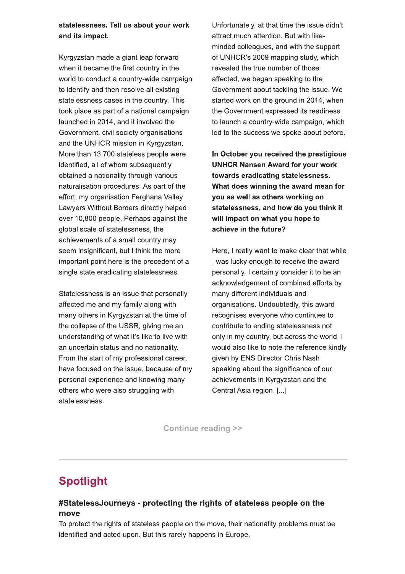statelessness. Tell us about your work and its impact.

Kyrgyzstan made a giant leap forward when it became the first country in the world to conduct a country-wide campaign to identify and then resolve all existing statelessness cases in the country. This took place as part of a national campaign launched in 2014, and it involved the Government, civil society organisations and the UNHCR mission in Kyrgyzstan. More than 13,700 stateless people were identified, all of whom subsequently obtained a nationality through various naturalisation procedures. As part of the effort, my organisation Ferghana Valley Lawyers Without Borders directly helped over 10,800 people. Perhaps against the global scale of statelessness, the achievements of a small country may seem insignificant, but I think the more important point here is the precedent of a single state eradicating statelessness.

Statelessness is an issue that personally affected me and my family along with many others in Kyrgyzstan at the time of the collapse of the USSR, giving me an understanding of what it's like to live with an uncertain status and no nationality. From the start of my professional career, I have focused on the issue, because of my personal experience and knowing many others who were also struggling with statelessness.

Unfortunately, at that time the issue didn't attract much attention. But with likeminded colleagues, and with the support of UNHCR's 2009 mapping study, which revealed the true number of those affected, we began speaking to the Government about tackling the issue. We started work on the ground in 2014, when the Government expressed its readiness to launch a country-wide campaign, which led to the success we spoke about before.

In October you received the prestigious **UNHCR Nansen Award for your work** towards eradicating statelessness. What does winning the award mean for you as well as others working on statelessness, and how do you think it will impact on what you hope to achieve in the future?

Here, I really want to make clear that while I was lucky enough to receive the award personally, I certainly consider it to be an acknowledgement of combined efforts by many different individuals and organisations. Undoubtedly, this award recognises everyone who continues to contribute to ending statelessness not only in my country, but across the world. I would also like to note the reference kindly given by ENS Director Chris Nash speaking about the significance of our achievements in Kyrgyzstan and the Central Asia region. [...]

**Continue reading >>** 

# **Spotlight**

#### #StatelessJourneys - protecting the rights of stateless people on the move

To protect the rights of stateless people on the move, their nationality problems must be identified and acted upon. But this rarely happens in Europe.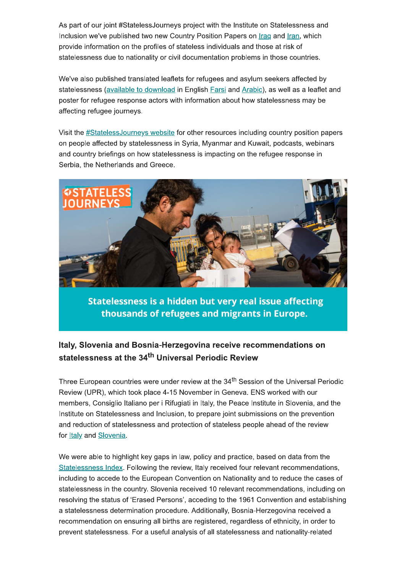As part of our joint #StatelessJourneys project with the Institute on Statelessness and Inclusion we've published two new Country Position Papers on Iraq and Iran, which provide information on the profiles of stateless individuals and those at risk of statelessness due to nationality or civil documentation problems in those countries.

We've also published translated leaflets for refugees and asylum seekers affected by statelessness (available to download in English Farsi and Arabic), as well as a leaflet and poster for refugee response actors with information about how statelessness may be affecting refugee journeys.

Visit the #StatelessJourneys website for other resources including country position papers on people affected by statelessness in Syria, Myanmar and Kuwait, podcasts, webinars and country briefings on how statelessness is impacting on the refugee response in Serbia, the Netherlands and Greece.



Statelessness is a hidden but very real issue affecting thousands of refugees and migrants in Europe.

### Italy, Slovenia and Bosnia-Herzegovina receive recommendations on statelessness at the 34<sup>th</sup> Universal Periodic Review

Three European countries were under review at the 34<sup>th</sup> Session of the Universal Periodic Review (UPR), which took place 4-15 November in Geneva. ENS worked with our members, Consiglio Italiano per i Rifugiati in Italy, the Peace Institute in Slovenia, and the Institute on Statelessness and Inclusion, to prepare joint submissions on the prevention and reduction of statelessness and protection of stateless people ahead of the review for **Italy** and **Slovenia**.

We were able to highlight key gaps in law, policy and practice, based on data from the Statelessness Index. Following the review, Italy received four relevant recommendations, including to accede to the European Convention on Nationality and to reduce the cases of statelessness in the country. Slovenia received 10 relevant recommendations, including on resolving the status of 'Erased Persons', acceding to the 1961 Convention and establishing a statelessness determination procedure. Additionally, Bosnia-Herzegovina received a recommendation on ensuring all births are registered, regardless of ethnicity, in order to prevent statelessness. For a useful analysis of all statelessness and nationality-related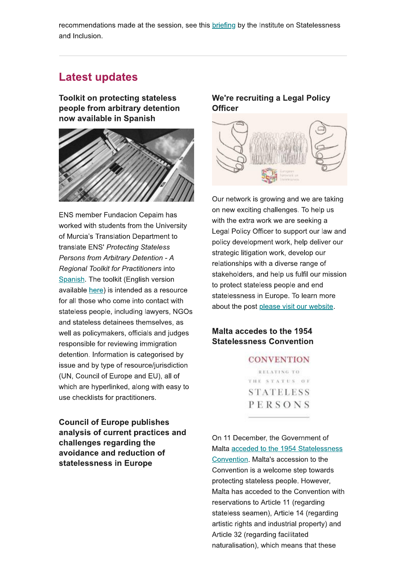recommendations made at the session, see this briefing by the Institute on Statelessness and Inclusion.

### Latest updates

**Toolkit on protecting stateless** people from arbitrary detention now available in Spanish



**ENS member Fundacion Cepaim has** worked with students from the University of Murcia's Translation Department to translate ENS' Protecting Stateless Persons from Arbitrary Detention - A Regional Toolkit for Practitioners into Spanish. The toolkit (English version available here) is intended as a resource for all those who come into contact with stateless people, including lawyers, NGOs and stateless detainees themselves, as well as policymakers, officials and judges responsible for reviewing immigration detention. Information is categorised by issue and by type of resource/jurisdiction (UN, Council of Europe and EU), all of which are hyperlinked, along with easy to use checklists for practitioners.

**Council of Europe publishes** analysis of current practices and challenges regarding the avoidance and reduction of statelessness in Europe

#### We're recruiting a Legal Policy **Officer**



Our network is growing and we are taking on new exciting challenges. To help us with the extra work we are seeking a Legal Policy Officer to support our law and policy development work, help deliver our strategic litigation work, develop our relationships with a diverse range of stakeholders, and help us fulfil our mission to protect stateless people and end statelessness in Europe. To learn more about the post please visit our website.

#### Malta accedes to the 1954 **Statelessness Convention**

**CONVENTION** RELATING TO THE STATUS OF **STATELESS** PERSONS

On 11 December, the Government of Malta acceded to the 1954 Statelessness Convention. Malta's accession to the Convention is a welcome step towards protecting stateless people. However, Malta has acceded to the Convention with reservations to Article 11 (regarding stateless seamen), Article 14 (regarding artistic rights and industrial property) and Article 32 (regarding facilitated naturalisation), which means that these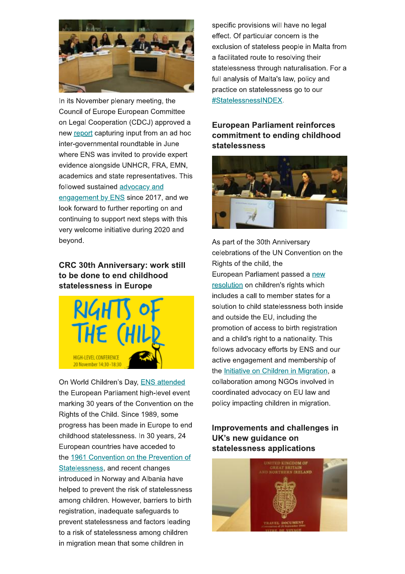

In its November plenary meeting, the **Council of Europe European Committee** on Legal Cooperation (CDCJ) approved a new report capturing input from an ad hoc inter-governmental roundtable in June where ENS was invited to provide expert evidence alongside UNHCR, FRA, EMN, academics and state representatives. This followed sustained advocacy and engagement by ENS since 2017, and we look forward to further reporting on and continuing to support next steps with this very welcome initiative during 2020 and beyond.

### **CRC 30th Anniversary: work still** to be done to end childhood statelessness in Europe



On World Children's Day, ENS attended the European Parliament high-level event marking 30 years of the Convention on the Rights of the Child. Since 1989, some progress has been made in Europe to end childhood statelessness. In 30 years, 24 European countries have acceded to the 1961 Convention on the Prevention of Statelessness, and recent changes introduced in Norway and Albania have helped to prevent the risk of statelessness among children. However, barriers to birth registration, inadequate safeguards to prevent statelessness and factors leading to a risk of statelessness among children in migration mean that some children in

specific provisions will have no legal effect. Of particular concern is the exclusion of stateless people in Malta from a facilitated route to resolving their statelessness through naturalisation. For a full analysis of Malta's law, policy and practice on statelessness go to our #StatelessnessINDEX.

### **European Parliament reinforces** commitment to ending childhood statelessness



As part of the 30th Anniversary celebrations of the UN Convention on the Rights of the child, the European Parliament passed a new resolution on children's rights which includes a call to member states for a solution to child statelessness both inside and outside the EU, including the promotion of access to birth registration and a child's right to a nationality. This follows advocacy efforts by ENS and our active engagement and membership of the Initiative on Children in Migration, a collaboration among NGOs involved in coordinated advocacy on EU law and policy impacting children in migration.

### Improvements and challenges in UK's new quidance on statelessness applications

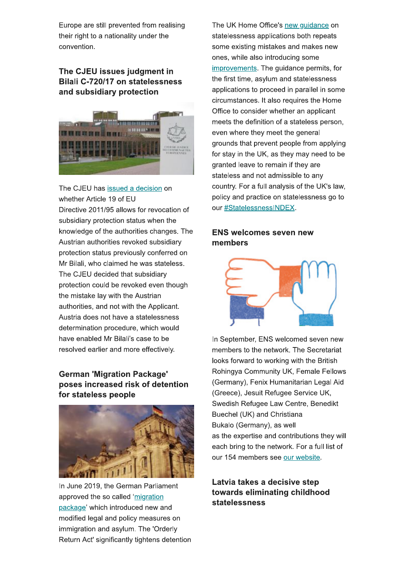Europe are still prevented from realising their right to a nationality under the convention.

### The CJEU issues judgment in Bilali C-720/17 on statelessness and subsidiary protection



The CJEU has issued a decision on whether Article 19 of EU Directive 2011/95 allows for revocation of subsidiary protection status when the knowledge of the authorities changes. The Austrian authorities revoked subsidiary protection status previously conferred on Mr Bilali, who claimed he was stateless. The CJEU decided that subsidiary protection could be revoked even though the mistake lay with the Austrian authorities, and not with the Applicant. Austria does not have a statelessness determination procedure, which would have enabled Mr Bilali's case to be resolved earlier and more effectively.

#### **German 'Migration Package'** poses increased risk of detention for stateless people



In June 2019, the German Parliament approved the so called 'migration package' which introduced new and modified legal and policy measures on immigration and asylum. The 'Orderly Return Act' significantly tightens detention The UK Home Office's new guidance on statelessness applications both repeats some existing mistakes and makes new ones, while also introducing some improvements. The guidance permits, for the first time, asylum and statelessness applications to proceed in parallel in some circumstances. It also requires the Home Office to consider whether an applicant meets the definition of a stateless person, even where they meet the general grounds that prevent people from applying for stay in the UK, as they may need to be granted leave to remain if they are stateless and not admissible to any country. For a full analysis of the UK's law, policy and practice on statelessness go to our #StatelessnessINDEX.

#### **ENS welcomes seven new** members



In September, ENS welcomed seven new members to the network. The Secretariat looks forward to working with the British Rohingya Community UK, Female Fellows (Germany), Fenix Humanitarian Legal Aid (Greece), Jesuit Refugee Service UK, Swedish Refugee Law Centre, Benedikt Buechel (UK) and Christiana Bukalo (Germany), as well as the expertise and contributions they will each bring to the network. For a full list of our 154 members see our website.

### Latvia takes a decisive step towards eliminating childhood statelessness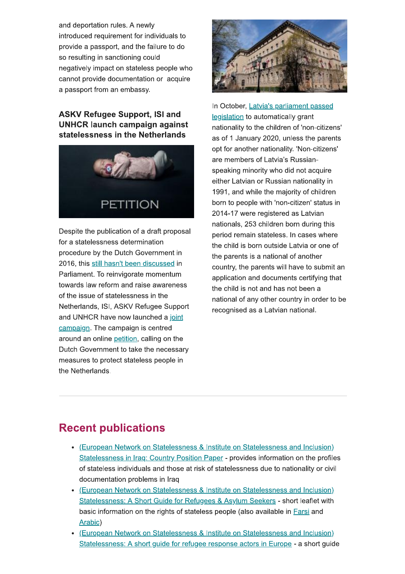and deportation rules. A newly introduced requirement for individuals to provide a passport, and the failure to do so resulting in sanctioning could negatively impact on stateless people who cannot provide documentation or acquire a passport from an embassy.

### **ASKV Refugee Support, ISI and UNHCR launch campaign against** statelessness in the Netherlands



Despite the publication of a draft proposal for a statelessness determination procedure by the Dutch Government in 2016, this still hasn't been discussed in Parliament. To reinvigorate momentum towards law reform and raise awareness of the issue of statelessness in the Netherlands, ISI, ASKV Refugee Support and UNHCR have now launched a joint campaign. The campaign is centred around an online petition, calling on the Dutch Government to take the necessary measures to protect stateless people in the Netherlands.



In October, Latvia's parliament passed legislation to automatically grant nationality to the children of 'non-citizens' as of 1 January 2020, unless the parents opt for another nationality. 'Non-citizens' are members of Latvia's Russianspeaking minority who did not acquire either Latvian or Russian nationality in 1991, and while the majority of children born to people with 'non-citizen' status in 2014-17 were registered as Latvian nationals, 253 children born during this period remain stateless. In cases where the child is born outside Latvia or one of the parents is a national of another country, the parents will have to submit an application and documents certifying that the child is not and has not been a national of any other country in order to be recognised as a Latvian national.

# **Recent publications**

- (European Network on Statelessness & Institute on Statelessness and Inclusion) Statelessness in Iraq: Country Position Paper - provides information on the profiles of stateless individuals and those at risk of statelessness due to nationality or civil documentation problems in Iraq
- (European Network on Statelessness & Institute on Statelessness and Inclusion) Statelessness: A Short Guide for Refugees & Asylum Seekers - short leaflet with basic information on the rights of stateless people (also available in Farsi and Arabic)
- (European Network on Statelessness & Institute on Statelessness and Inclusion) Statelessness: A short guide for refugee response actors in Europe - a short guide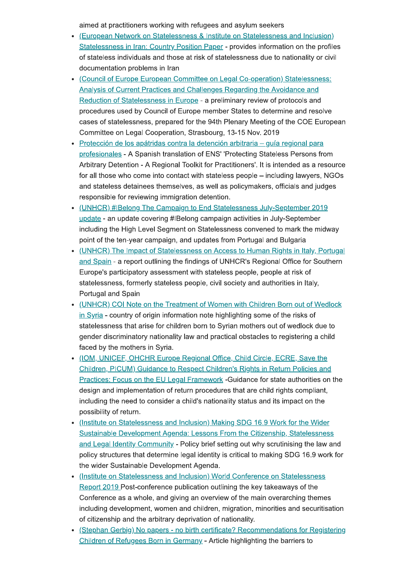aimed at practitioners working with refugees and asylum seekers

- (European Network on Statelessness & Institute on Statelessness and Inclusion) Statelessness in Iran: Country Position Paper - provides information on the profiles of stateless individuals and those at risk of statelessness due to nationality or civil documentation problems in Iran
- (Council of Europe European Committee on Legal Co-operation) Statelessness: Analysis of Current Practices and Challenges Regarding the Avoidance and Reduction of Statelessness in Europe - a preliminary review of protocols and procedures used by Council of Europe member States to determine and resolve cases of statelessness, prepared for the 94th Plenary Meeting of the COE European Committee on Legal Cooperation, Strasbourg, 13-15 Nov. 2019
- · Protección de los apátridas contra la detención arbitraria quía regional para profesionales - A Spanish translation of ENS' 'Protecting Stateless Persons from Arbitrary Detention - A Regional Toolkit for Practitioners'. It is intended as a resource for all those who come into contact with stateless people – including lawyers, NGOs and stateless detainees themselves, as well as policymakers, officials and judges responsible for reviewing immigration detention.
- (UNHCR) #IBelong The Campaign to End Statelessness July-September 2019 update - an update covering #IBelong campaign activities in July-September including the High Level Segment on Statelessness convened to mark the midway point of the ten-year campaign, and updates from Portugal and Bulgaria
- (UNHCR) The Impact of Statelessness on Access to Human Rights in Italy, Portugal and Spain - a report outlining the findings of UNHCR's Regional Office for Southern Europe's participatory assessment with stateless people, people at risk of statelessness, formerly stateless people, civil society and authorities in Italy, Portugal and Spain
- (UNHCR) COI Note on the Treatment of Women with Children Born out of Wedlock in Syria - country of origin information note highlighting some of the risks of statelessness that arise for children born to Syrian mothers out of wedlock due to gender discriminatory nationality law and practical obstacles to registering a child faced by the mothers in Syria.
- . (IOM, UNICEF, OHCHR Europe Regional Office, Child Circle, ECRE, Save the Children, PICUM) Guidance to Respect Children's Rights in Return Policies and Practices: Focus on the EU Legal Framework -Guidance for state authorities on the design and implementation of return procedures that are child rights compliant, including the need to consider a child's nationality status and its impact on the possibility of return.
- (Institute on Statelessness and Inclusion) Making SDG 16.9 Work for the Wider Sustainable Development Agenda: Lessons From the Citizenship, Statelessness and Legal Identity Community - Policy brief setting out why scrutinising the law and policy structures that determine legal identity is critical to making SDG 16.9 work for the wider Sustainable Development Agenda.
- (Institute on Statelessness and Inclusion) World Conference on Statelessness Report 2019 Post-conference publication outlining the key takeaways of the Conference as a whole, and giving an overview of the main overarching themes including development, women and children, migration, minorities and securitisation of citizenship and the arbitrary deprivation of nationality.
- (Stephan Gerbig) No papers no birth certificate? Recommendations for Registering Children of Refugees Born in Germany - Article highlighting the barriers to